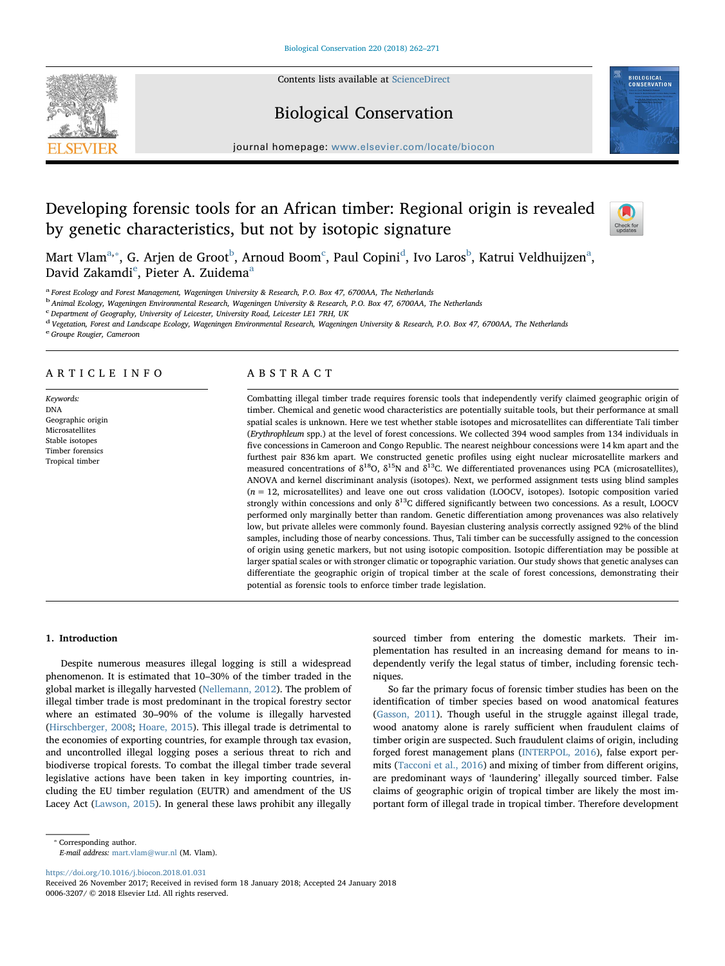

# Biological Conservation



journal homepage: [www.elsevier.com/locate/biocon](https://www.elsevier.com/locate/biocon)

# Developing forensic tools for an African timber: Regional origin is revealed by genetic characteristics, but not by isotopic signature



M[a](#page-0-0)rt Vlam $^{\rm a, *},$  $^{\rm a, *},$  $^{\rm a, *},$  G. Arjen [d](#page-0-4)e Groot $^{\rm b}$  $^{\rm b}$  $^{\rm b}$ , Arnoud Boom $^{\rm c}$  $^{\rm c}$  $^{\rm c}$ , Paul Copini $^{\rm d}$ , Ivo Laros $^{\rm b}$ , Katrui Veldhuijzen $^{\rm a}$ , David Zakamdi<sup>[e](#page-0-5)</sup>, Pieter A. Zuidem[a](#page-0-0)<sup>a</sup>

<span id="page-0-0"></span><sup>a</sup> Forest Ecology and Forest Management, Wageningen University & Research, P.O. Box 47, 6700AA, The Netherlands

<span id="page-0-2"></span><sup>b</sup> Animal Ecology, Wageningen Environmental Research, Wageningen University & Research, P.O. Box 47, 6700AA, The Netherlands

<span id="page-0-3"></span><sup>c</sup> Department of Geography, University of Leicester, University Road, Leicester LE1 7RH, UK

<span id="page-0-4"></span><sup>d</sup> Vegetation, Forest and Landscape Ecology, Wageningen Environmental Research, Wageningen University & Research, P.O. Box 47, 6700AA, The Netherlands

<span id="page-0-5"></span><sup>e</sup> Groupe Rougier, Cameroon

# ARTICLE INFO

Keywords: DNA Geographic origin Microsatellites Stable isotopes Timber forensics Tropical timber

# ABSTRACT

Combatting illegal timber trade requires forensic tools that independently verify claimed geographic origin of timber. Chemical and genetic wood characteristics are potentially suitable tools, but their performance at small spatial scales is unknown. Here we test whether stable isotopes and microsatellites can differentiate Tali timber (Erythrophleum spp.) at the level of forest concessions. We collected 394 wood samples from 134 individuals in five concessions in Cameroon and Congo Republic. The nearest neighbour concessions were 14 km apart and the furthest pair 836 km apart. We constructed genetic profiles using eight nuclear microsatellite markers and measured concentrations of  $\delta^{18}O$ ,  $\delta^{15}N$  and  $\delta^{13}C$ . We differentiated provenances using PCA (microsatellites), ANOVA and kernel discriminant analysis (isotopes). Next, we performed assignment tests using blind samples (n = 12, microsatellites) and leave one out cross validation (LOOCV, isotopes). Isotopic composition varied strongly within concessions and only  $\delta^{13}$ C differed significantly between two concessions. As a result, LOOCV performed only marginally better than random. Genetic differentiation among provenances was also relatively low, but private alleles were commonly found. Bayesian clustering analysis correctly assigned 92% of the blind samples, including those of nearby concessions. Thus, Tali timber can be successfully assigned to the concession of origin using genetic markers, but not using isotopic composition. Isotopic differentiation may be possible at larger spatial scales or with stronger climatic or topographic variation. Our study shows that genetic analyses can differentiate the geographic origin of tropical timber at the scale of forest concessions, demonstrating their potential as forensic tools to enforce timber trade legislation.

# 1. Introduction

Despite numerous measures illegal logging is still a widespread phenomenon. It is estimated that 10–30% of the timber traded in the global market is illegally harvested [\(Nellemann, 2012](#page-9-0)). The problem of illegal timber trade is most predominant in the tropical forestry sector where an estimated 30–90% of the volume is illegally harvested ([Hirschberger, 2008](#page-9-1); [Hoare, 2015](#page-9-2)). This illegal trade is detrimental to the economies of exporting countries, for example through tax evasion, and uncontrolled illegal logging poses a serious threat to rich and biodiverse tropical forests. To combat the illegal timber trade several legislative actions have been taken in key importing countries, including the EU timber regulation (EUTR) and amendment of the US Lacey Act ([Lawson, 2015](#page-9-3)). In general these laws prohibit any illegally sourced timber from entering the domestic markets. Their implementation has resulted in an increasing demand for means to independently verify the legal status of timber, including forensic techniques.

So far the primary focus of forensic timber studies has been on the identification of timber species based on wood anatomical features ([Gasson, 2011\)](#page-9-4). Though useful in the struggle against illegal trade, wood anatomy alone is rarely sufficient when fraudulent claims of timber origin are suspected. Such fraudulent claims of origin, including forged forest management plans ([INTERPOL, 2016\)](#page-9-5), false export permits ([Tacconi et al., 2016](#page-9-6)) and mixing of timber from different origins, are predominant ways of 'laundering' illegally sourced timber. False claims of geographic origin of tropical timber are likely the most important form of illegal trade in tropical timber. Therefore development

<span id="page-0-1"></span>⁎ Corresponding author.

E-mail address: [mart.vlam@wur.nl](mailto:mart.vlam@wur.nl) (M. Vlam).

<https://doi.org/10.1016/j.biocon.2018.01.031>

Received 26 November 2017; Received in revised form 18 January 2018; Accepted 24 January 2018 0006-3207/ © 2018 Elsevier Ltd. All rights reserved.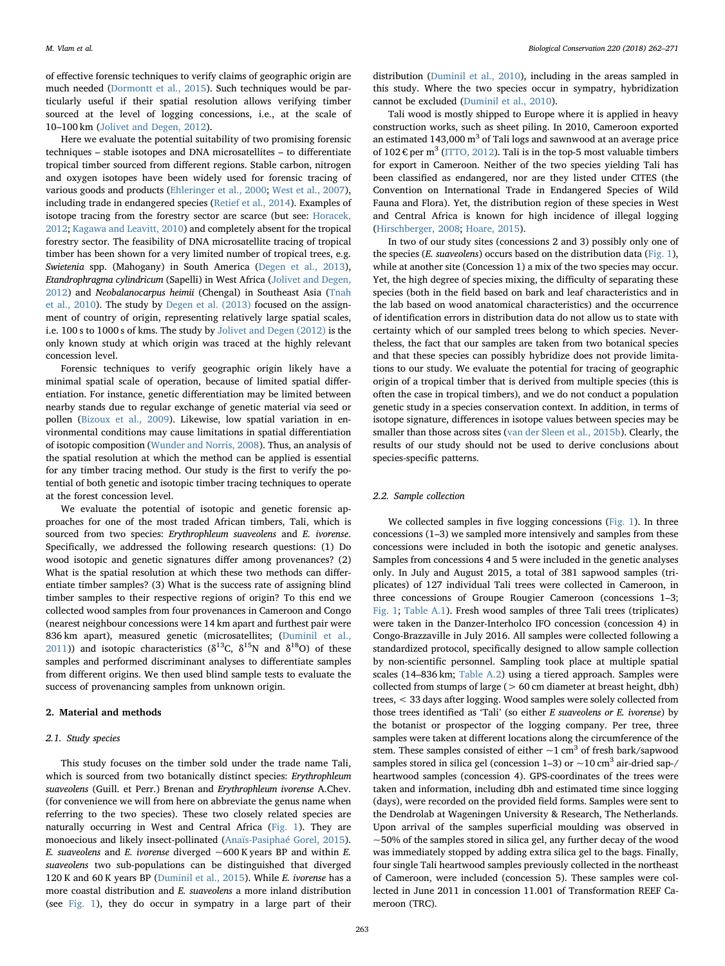of effective forensic techniques to verify claims of geographic origin are much needed [\(Dormontt et al., 2015\)](#page-8-0). Such techniques would be particularly useful if their spatial resolution allows verifying timber sourced at the level of logging concessions, i.e., at the scale of 10–100 km [\(Jolivet and Degen, 2012](#page-9-7)).

Here we evaluate the potential suitability of two promising forensic techniques – stable isotopes and DNA microsatellites – to differentiate tropical timber sourced from different regions. Stable carbon, nitrogen and oxygen isotopes have been widely used for forensic tracing of various goods and products ([Ehleringer et al., 2000](#page-9-8); [West et al., 2007](#page-9-9)), including trade in endangered species ([Retief et al., 2014\)](#page-9-10). Examples of isotope tracing from the forestry sector are scarce (but see: [Horacek,](#page-9-11) [2012;](#page-9-11) [Kagawa and Leavitt, 2010\)](#page-9-12) and completely absent for the tropical forestry sector. The feasibility of DNA microsatellite tracing of tropical timber has been shown for a very limited number of tropical trees, e.g. Swietenia spp. (Mahogany) in South America ([Degen et al., 2013](#page-8-1)), Etandrophragma cylindricum (Sapelli) in West Africa [\(Jolivet and Degen,](#page-9-7) [2012\)](#page-9-7) and Neobalanocarpus heimii (Chengal) in Southeast Asia ([Tnah](#page-9-13) [et al., 2010\)](#page-9-13). The study by [Degen et al. \(2013\)](#page-8-1) focused on the assignment of country of origin, representing relatively large spatial scales, i.e. 100 s to 1000 s of kms. The study by [Jolivet and Degen \(2012\)](#page-9-7) is the only known study at which origin was traced at the highly relevant concession level.

Forensic techniques to verify geographic origin likely have a minimal spatial scale of operation, because of limited spatial differentiation. For instance, genetic differentiation may be limited between nearby stands due to regular exchange of genetic material via seed or pollen ([Bizoux et al., 2009](#page-8-2)). Likewise, low spatial variation in environmental conditions may cause limitations in spatial differentiation of isotopic composition [\(Wunder and Norris, 2008\)](#page-9-14). Thus, an analysis of the spatial resolution at which the method can be applied is essential for any timber tracing method. Our study is the first to verify the potential of both genetic and isotopic timber tracing techniques to operate at the forest concession level.

We evaluate the potential of isotopic and genetic forensic approaches for one of the most traded African timbers, Tali, which is sourced from two species: Erythrophleum suaveolens and E. ivorense. Specifically, we addressed the following research questions: (1) Do wood isotopic and genetic signatures differ among provenances? (2) What is the spatial resolution at which these two methods can differentiate timber samples? (3) What is the success rate of assigning blind timber samples to their respective regions of origin? To this end we collected wood samples from four provenances in Cameroon and Congo (nearest neighbour concessions were 14 km apart and furthest pair were 836 km apart), measured genetic (microsatellites; [\(Duminil et al.,](#page-8-3) [2011\)](#page-8-3)) and isotopic characteristics ( $\delta^{13}$ C,  $\delta^{15}$ N and  $\delta^{18}$ O) of these samples and performed discriminant analyses to differentiate samples from different origins. We then used blind sample tests to evaluate the success of provenancing samples from unknown origin.

# 2. Material and methods

# 2.1. Study species

This study focuses on the timber sold under the trade name Tali, which is sourced from two botanically distinct species: Erythrophleum suaveolens (Guill. et Perr.) Brenan and Erythrophleum ivorense A.Chev. (for convenience we will from here on abbreviate the genus name when referring to the two species). These two closely related species are naturally occurring in West and Central Africa [\(Fig. 1](#page-2-0)). They are monoecious and likely insect-pollinated [\(Anaïs-Pasiphaé Gorel, 2015](#page-8-4)). E. suaveolens and E. ivorense diverged  $\sim$  600 K years BP and within E. suaveolens two sub-populations can be distinguished that diverged 120 K and 60 K years BP ([Duminil et al., 2015](#page-9-15)). While E. ivorense has a more coastal distribution and E. suaveolens a more inland distribution (see [Fig. 1](#page-2-0)), they do occur in sympatry in a large part of their

distribution [\(Duminil et al., 2010\)](#page-8-5), including in the areas sampled in this study. Where the two species occur in sympatry, hybridization cannot be excluded [\(Duminil et al., 2010](#page-8-5)).

Tali wood is mostly shipped to Europe where it is applied in heavy construction works, such as sheet piling. In 2010, Cameroon exported an estimated  $143,000 \text{ m}^3$  of Tali logs and sawnwood at an average price of  $102 \epsilon$  per m<sup>3</sup> ([ITTO, 2012\)](#page-9-16). Tali is in the top-5 most valuable timbers for export in Cameroon. Neither of the two species yielding Tali has been classified as endangered, nor are they listed under CITES (the Convention on International Trade in Endangered Species of Wild Fauna and Flora). Yet, the distribution region of these species in West and Central Africa is known for high incidence of illegal logging ([Hirschberger, 2008](#page-9-1); [Hoare, 2015](#page-9-2)).

In two of our study sites (concessions 2 and 3) possibly only one of the species (E. suaveolens) occurs based on the distribution data ([Fig. 1](#page-2-0)), while at another site (Concession 1) a mix of the two species may occur. Yet, the high degree of species mixing, the difficulty of separating these species (both in the field based on bark and leaf characteristics and in the lab based on wood anatomical characteristics) and the occurrence of identification errors in distribution data do not allow us to state with certainty which of our sampled trees belong to which species. Nevertheless, the fact that our samples are taken from two botanical species and that these species can possibly hybridize does not provide limitations to our study. We evaluate the potential for tracing of geographic origin of a tropical timber that is derived from multiple species (this is often the case in tropical timbers), and we do not conduct a population genetic study in a species conservation context. In addition, in terms of isotope signature, differences in isotope values between species may be smaller than those across sites ([van der Sleen et al., 2015b\)](#page-9-17). Clearly, the results of our study should not be used to derive conclusions about species-specific patterns.

# 2.2. Sample collection

We collected samples in five logging concessions ([Fig. 1](#page-2-0)). In three concessions (1–3) we sampled more intensively and samples from these concessions were included in both the isotopic and genetic analyses. Samples from concessions 4 and 5 were included in the genetic analyses only. In July and August 2015, a total of 381 sapwood samples (triplicates) of 127 individual Tali trees were collected in Cameroon, in three concessions of Groupe Rougier Cameroon (concessions 1–3; [Fig. 1](#page-2-0); [Table A.1\)](#page-6-0). Fresh wood samples of three Tali trees (triplicates) were taken in the Danzer-Interholco IFO concession (concession 4) in Congo-Brazzaville in July 2016. All samples were collected following a standardized protocol, specifically designed to allow sample collection by non-scientific personnel. Sampling took place at multiple spatial scales (14–836 km; [Table A.2\)](#page-7-0) using a tiered approach. Samples were collected from stumps of large (> 60 cm diameter at breast height, dbh) trees, < 33 days after logging. Wood samples were solely collected from those trees identified as 'Tali' (so either E suaveolens or E. ivorense) by the botanist or prospector of the logging company. Per tree, three samples were taken at different locations along the circumference of the stem. These samples consisted of either  $\sim$ 1 cm<sup>3</sup> of fresh bark/sapwood samples stored in silica gel (concession  $1-3$ ) or  $\sim$  10 cm<sup>3</sup> air-dried sap-/ heartwood samples (concession 4). GPS-coordinates of the trees were taken and information, including dbh and estimated time since logging (days), were recorded on the provided field forms. Samples were sent to the Dendrolab at Wageningen University & Research, The Netherlands. Upon arrival of the samples superficial moulding was observed in  $\sim$  50% of the samples stored in silica gel, any further decay of the wood was immediately stopped by adding extra silica gel to the bags. Finally, four single Tali heartwood samples previously collected in the northeast of Cameroon, were included (concession 5). These samples were collected in June 2011 in concession 11.001 of Transformation REEF Cameroon (TRC).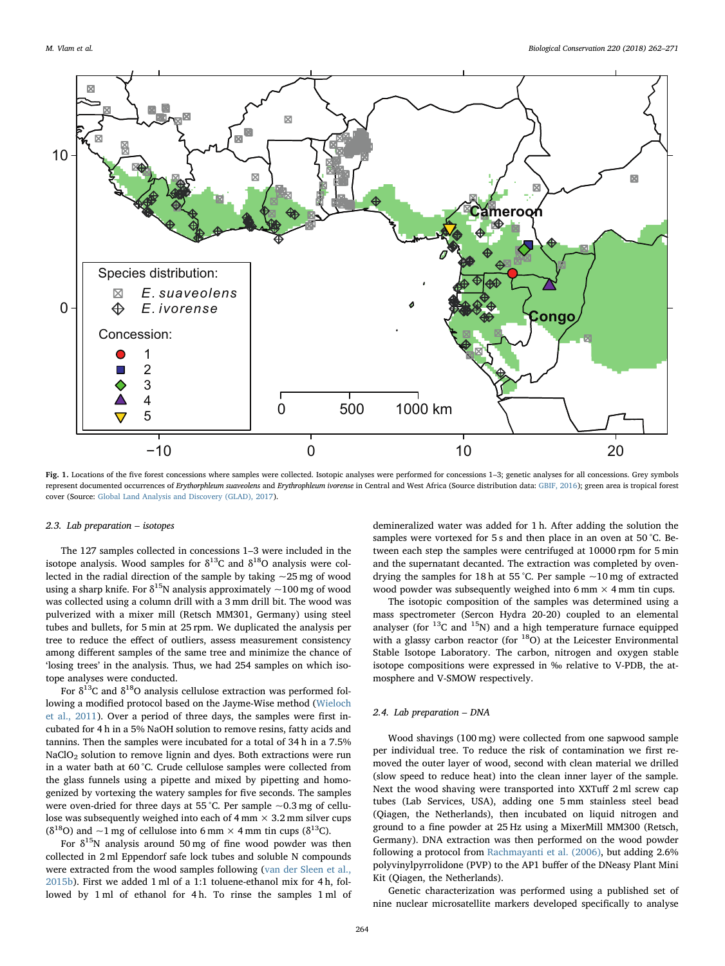<span id="page-2-0"></span>

Fig. 1. Locations of the five forest concessions where samples were collected. Isotopic analyses were performed for concessions 1-3; genetic analyses for all concessions. Grey symbols represent documented occurrences of Erythorphleum suaveolens and Erythrophleum ivorense in Central and West Africa (Source distribution data: [GBIF, 2016\)](#page-9-20); green area is tropical forest cover (Source: [Global Land Analysis and Discovery \(GLAD\), 2017\)](#page-9-21).

# 2.3. Lab preparation – isotopes

The 127 samples collected in concessions 1–3 were included in the isotope analysis. Wood samples for  $\delta^{13}$ C and  $\delta^{18}$ O analysis were collected in the radial direction of the sample by taking  $\sim$  25 mg of wood using a sharp knife. For  $\delta^{15}N$  analysis approximately  $\sim$ 100 mg of wood was collected using a column drill with a 3 mm drill bit. The wood was pulverized with a mixer mill (Retsch MM301, Germany) using steel tubes and bullets, for 5 min at 25 rpm. We duplicated the analysis per tree to reduce the effect of outliers, assess measurement consistency among different samples of the same tree and minimize the chance of 'losing trees' in the analysis. Thus, we had 254 samples on which isotope analyses were conducted.

For  $\delta^{13}$ C and  $\delta^{18}$ O analysis cellulose extraction was performed following a modified protocol based on the Jayme-Wise method ([Wieloch](#page-9-18) [et al., 2011\)](#page-9-18). Over a period of three days, the samples were first incubated for 4 h in a 5% NaOH solution to remove resins, fatty acids and tannins. Then the samples were incubated for a total of 34 h in a 7.5% NaClO<sub>2</sub> solution to remove lignin and dyes. Both extractions were run in a water bath at 60 °C. Crude cellulose samples were collected from the glass funnels using a pipette and mixed by pipetting and homogenized by vortexing the watery samples for five seconds. The samples were oven-dried for three days at 55 °C. Per sample  $\sim 0.3$  mg of cellulose was subsequently weighed into each of  $4 \text{ mm} \times 3.2 \text{ mm}$  silver cups  $(\delta^{18}O)$  and ~1 mg of cellulose into 6 mm × 4 mm tin cups  $(\delta^{13}C)$ .

For  $\delta^{15}$ N analysis around 50 mg of fine wood powder was then collected in 2 ml Eppendorf safe lock tubes and soluble N compounds were extracted from the wood samples following ([van der Sleen et al.,](#page-9-17) [2015b\)](#page-9-17). First we added 1 ml of a 1:1 toluene-ethanol mix for 4 h, followed by 1 ml of ethanol for 4 h. To rinse the samples 1 ml of demineralized water was added for 1 h. After adding the solution the samples were vortexed for 5 s and then place in an oven at 50 °C. Between each step the samples were centrifuged at 10000 rpm for 5 min and the supernatant decanted. The extraction was completed by ovendrying the samples for 18 h at 55 °C. Per sample  $\sim$ 10 mg of extracted wood powder was subsequently weighed into 6 mm  $\times$  4 mm tin cups.

The isotopic composition of the samples was determined using a mass spectrometer (Sercon Hydra 20-20) coupled to an elemental analyser (for  $^{13}$ C and  $^{15}$ N) and a high temperature furnace equipped with a glassy carbon reactor (for  $^{18}O$ ) at the Leicester Environmental Stable Isotope Laboratory. The carbon, nitrogen and oxygen stable isotope compositions were expressed in ‰ relative to V-PDB, the atmosphere and V-SMOW respectively.

### 2.4. Lab preparation – DNA

Wood shavings (100 mg) were collected from one sapwood sample per individual tree. To reduce the risk of contamination we first removed the outer layer of wood, second with clean material we drilled (slow speed to reduce heat) into the clean inner layer of the sample. Next the wood shaving were transported into XXTuff 2 ml screw cap tubes (Lab Services, USA), adding one 5 mm stainless steel bead (Qiagen, the Netherlands), then incubated on liquid nitrogen and ground to a fine powder at 25 Hz using a MixerMill MM300 (Retsch, Germany). DNA extraction was then performed on the wood powder following a protocol from [Rachmayanti et al. \(2006\),](#page-9-19) but adding 2.6% polyvinylpyrrolidone (PVP) to the AP1 buffer of the DNeasy Plant Mini Kit (Qiagen, the Netherlands).

Genetic characterization was performed using a published set of nine nuclear microsatellite markers developed specifically to analyse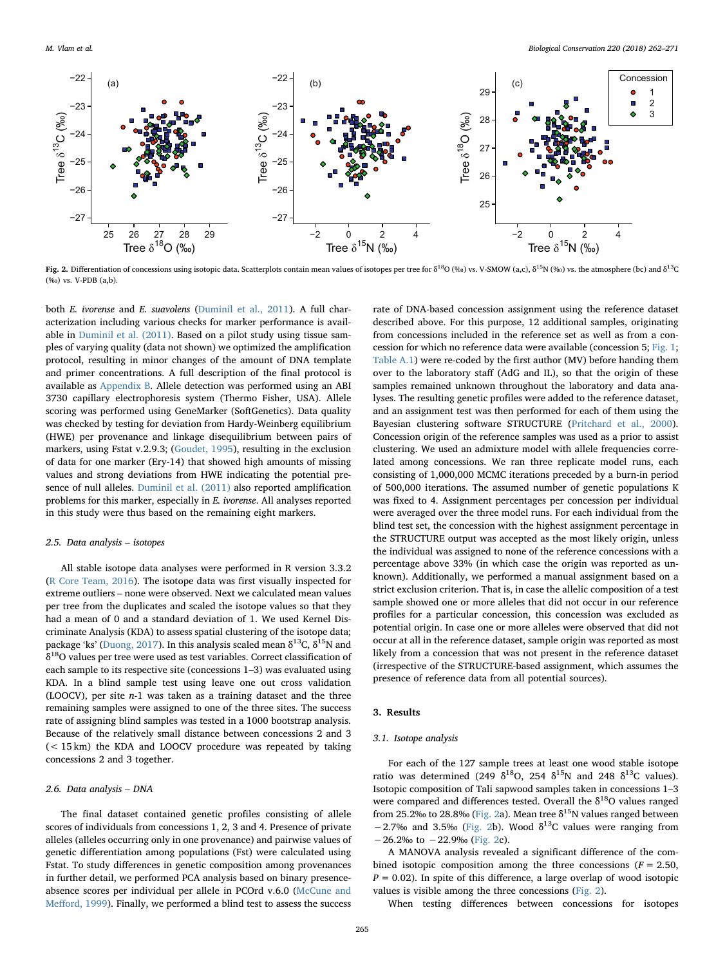<span id="page-3-0"></span>

Fig. 2. Differentiation of concessions using isotopic data. Scatterplots contain mean values of isotopes per tree for  $\delta^{18}O($  % vs. V-SMOW (a,c),  $\delta^{15}N($  % vs. the atmosphere (bc) and  $\delta^{13}C$ (‰) vs. V-PDB (a,b).

both E. ivorense and E. suavolens ([Duminil et al., 2011\)](#page-8-3). A full characterization including various checks for marker performance is available in [Duminil et al. \(2011\).](#page-8-3) Based on a pilot study using tissue samples of varying quality (data not shown) we optimized the amplification protocol, resulting in minor changes of the amount of DNA template and primer concentrations. A full description of the final protocol is available as [Appendix B.](#page-7-1) Allele detection was performed using an ABI 3730 capillary electrophoresis system (Thermo Fisher, USA). Allele scoring was performed using GeneMarker (SoftGenetics). Data quality was checked by testing for deviation from Hardy-Weinberg equilibrium (HWE) per provenance and linkage disequilibrium between pairs of markers, using Fstat v.2.9.3; [\(Goudet, 1995\)](#page-9-22), resulting in the exclusion of data for one marker (Ery-14) that showed high amounts of missing values and strong deviations from HWE indicating the potential presence of null alleles. [Duminil et al. \(2011\)](#page-8-3) also reported amplification problems for this marker, especially in E. ivorense. All analyses reported in this study were thus based on the remaining eight markers.

#### 2.5. Data analysis – isotopes

All stable isotope data analyses were performed in R version 3.3.2 ([R Core Team, 2016\)](#page-9-23). The isotope data was first visually inspected for extreme outliers – none were observed. Next we calculated mean values per tree from the duplicates and scaled the isotope values so that they had a mean of 0 and a standard deviation of 1. We used Kernel Discriminate Analysis (KDA) to assess spatial clustering of the isotope data; package 'ks' ([Duong, 2017](#page-9-24)). In this analysis scaled mean  $\delta^{13}C$ ,  $\delta^{15}N$  and  $\delta^{18}$ O values per tree were used as test variables. Correct classification of each sample to its respective site (concessions 1–3) was evaluated using KDA. In a blind sample test using leave one out cross validation (LOOCV), per site n-1 was taken as a training dataset and the three remaining samples were assigned to one of the three sites. The success rate of assigning blind samples was tested in a 1000 bootstrap analysis. Because of the relatively small distance between concessions 2 and 3 (< 15 km) the KDA and LOOCV procedure was repeated by taking concessions 2 and 3 together.

# 2.6. Data analysis – DNA

The final dataset contained genetic profiles consisting of allele scores of individuals from concessions 1, 2, 3 and 4. Presence of private alleles (alleles occurring only in one provenance) and pairwise values of genetic differentiation among populations (Fst) were calculated using Fstat. To study differences in genetic composition among provenances in further detail, we performed PCA analysis based on binary presenceabsence scores per individual per allele in PCOrd v.6.0 ([McCune and](#page-9-25) Meff[ord, 1999](#page-9-25)). Finally, we performed a blind test to assess the success rate of DNA-based concession assignment using the reference dataset described above. For this purpose, 12 additional samples, originating from concessions included in the reference set as well as from a concession for which no reference data were available (concession 5; [Fig. 1](#page-2-0); [Table A.1](#page-6-0)) were re-coded by the first author (MV) before handing them over to the laboratory staff (AdG and IL), so that the origin of these samples remained unknown throughout the laboratory and data analyses. The resulting genetic profiles were added to the reference dataset, and an assignment test was then performed for each of them using the Bayesian clustering software STRUCTURE ([Pritchard et al., 2000](#page-9-26)). Concession origin of the reference samples was used as a prior to assist clustering. We used an admixture model with allele frequencies correlated among concessions. We ran three replicate model runs, each consisting of 1,000,000 MCMC iterations preceded by a burn-in period of 500,000 iterations. The assumed number of genetic populations K was fixed to 4. Assignment percentages per concession per individual were averaged over the three model runs. For each individual from the blind test set, the concession with the highest assignment percentage in the STRUCTURE output was accepted as the most likely origin, unless the individual was assigned to none of the reference concessions with a percentage above 33% (in which case the origin was reported as unknown). Additionally, we performed a manual assignment based on a strict exclusion criterion. That is, in case the allelic composition of a test sample showed one or more alleles that did not occur in our reference profiles for a particular concession, this concession was excluded as potential origin. In case one or more alleles were observed that did not occur at all in the reference dataset, sample origin was reported as most likely from a concession that was not present in the reference dataset (irrespective of the STRUCTURE-based assignment, which assumes the presence of reference data from all potential sources).

### 3. Results

# 3.1. Isotope analysis

For each of the 127 sample trees at least one wood stable isotope ratio was determined (249  $\delta^{18}$ O, 254  $\delta^{15}$ N and 248  $\delta^{13}$ C values). Isotopic composition of Tali sapwood samples taken in concessions 1–3 were compared and differences tested. Overall the  $\delta^{18}$ O values ranged from 25.2‰ to 28.8‰ ([Fig. 2a](#page-3-0)). Mean tree  $\delta^{15}N$  values ranged between −2.7‰ and 3.5‰ [\(Fig. 2b](#page-3-0)). Wood  $\delta^{13}$ C values were ranging from  $-26.2\%$  to  $-22.9\%$  [\(Fig. 2](#page-3-0)c).

A MANOVA analysis revealed a significant difference of the combined isotopic composition among the three concessions ( $F = 2.50$ ,  $P = 0.02$ ). In spite of this difference, a large overlap of wood isotopic values is visible among the three concessions [\(Fig. 2](#page-3-0)).

When testing differences between concessions for isotopes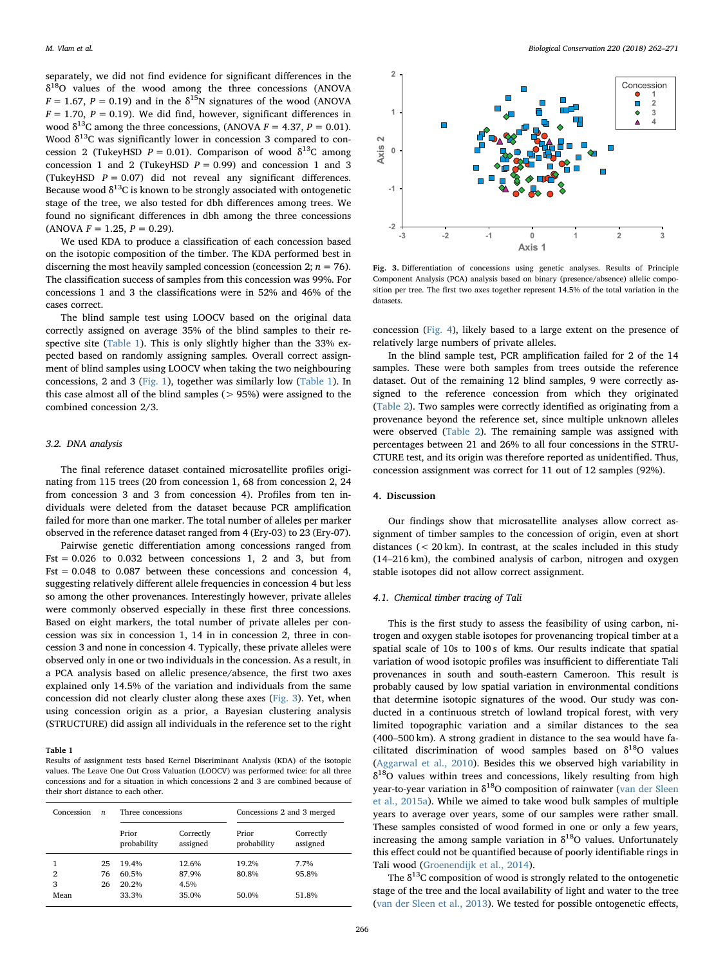separately, we did not find evidence for significant differences in the  $\delta^{18}$ O values of the wood among the three concessions (ANOVA  $F = 1.67$ ,  $P = 0.19$ ) and in the  $\delta^{15}$ N signatures of the wood (ANOVA  $F = 1.70$ ,  $P = 0.19$ ). We did find, however, significant differences in wood  $\delta^{13}$ C among the three concessions, (ANOVA  $F = 4.37$ ,  $P = 0.01$ ). Wood  $\delta^{13}$ C was significantly lower in concession 3 compared to concession 2 (TukeyHSD  $P = 0.01$ ). Comparison of wood  $\delta^{13}$ C among concession 1 and 2 (TukeyHSD  $P = 0.99$ ) and concession 1 and 3 (TukeyHSD  $P = 0.07$ ) did not reveal any significant differences. Because wood  $\delta^{13}$ C is known to be strongly associated with ontogenetic stage of the tree, we also tested for dbh differences among trees. We found no significant differences in dbh among the three concessions  $(ANOVA F = 1.25, P = 0.29).$ 

We used KDA to produce a classification of each concession based on the isotopic composition of the timber. The KDA performed best in discerning the most heavily sampled concession (concession 2;  $n = 76$ ). The classification success of samples from this concession was 99%. For concessions 1 and 3 the classifications were in 52% and 46% of the cases correct.

The blind sample test using LOOCV based on the original data correctly assigned on average 35% of the blind samples to their respective site ([Table 1](#page-4-0)). This is only slightly higher than the 33% expected based on randomly assigning samples. Overall correct assignment of blind samples using LOOCV when taking the two neighbouring concessions, 2 and 3 [\(Fig. 1\)](#page-2-0), together was similarly low ([Table 1](#page-4-0)). In this case almost all of the blind samples  $(> 95%)$  were assigned to the combined concession 2/3.

# 3.2. DNA analysis

The final reference dataset contained microsatellite profiles originating from 115 trees (20 from concession 1, 68 from concession 2, 24 from concession 3 and 3 from concession 4). Profiles from ten individuals were deleted from the dataset because PCR amplification failed for more than one marker. The total number of alleles per marker observed in the reference dataset ranged from 4 (Ery-03) to 23 (Ery-07).

Pairwise genetic differentiation among concessions ranged from  $Fst = 0.026$  to 0.032 between concessions 1, 2 and 3, but from Fst = 0.048 to 0.087 between these concessions and concession 4, suggesting relatively different allele frequencies in concession 4 but less so among the other provenances. Interestingly however, private alleles were commonly observed especially in these first three concessions. Based on eight markers, the total number of private alleles per concession was six in concession 1, 14 in in concession 2, three in concession 3 and none in concession 4. Typically, these private alleles were observed only in one or two individuals in the concession. As a result, in a PCA analysis based on allelic presence/absence, the first two axes explained only 14.5% of the variation and individuals from the same concession did not clearly cluster along these axes [\(Fig. 3\)](#page-4-1). Yet, when using concession origin as a prior, a Bayesian clustering analysis (STRUCTURE) did assign all individuals in the reference set to the right

#### <span id="page-4-0"></span>Table 1

Results of assignment tests based Kernel Discriminant Analysis (KDA) of the isotopic values. The Leave One Out Cross Valuation (LOOCV) was performed twice: for all three concessions and for a situation in which concessions 2 and 3 are combined because of their short distance to each other.

| Concession | $\boldsymbol{n}$ | Three concessions    |                       | Concessions 2 and 3 merged |                       |  |  |  |  |
|------------|------------------|----------------------|-----------------------|----------------------------|-----------------------|--|--|--|--|
|            |                  | Prior<br>probability | Correctly<br>assigned | Prior<br>probability       | Correctly<br>assigned |  |  |  |  |
|            | 25               | 19.4%                | 12.6%                 | 19.2%                      | 7.7%                  |  |  |  |  |
| 2          | 76               | 60.5%                | 87.9%                 | 80.8%                      | 95.8%                 |  |  |  |  |
| 3          | 26               | 20.2%                | 4.5%                  |                            |                       |  |  |  |  |
| Mean       |                  | 33.3%                | 35.0%                 | 50.0%                      | 51.8%                 |  |  |  |  |

<span id="page-4-1"></span>

Fig. 3. Differentiation of concessions using genetic analyses. Results of Principle Component Analysis (PCA) analysis based on binary (presence/absence) allelic composition per tree. The first two axes together represent 14.5% of the total variation in the datasets.

concession ([Fig. 4\)](#page-5-0), likely based to a large extent on the presence of relatively large numbers of private alleles.

In the blind sample test, PCR amplification failed for 2 of the 14 samples. These were both samples from trees outside the reference dataset. Out of the remaining 12 blind samples, 9 were correctly assigned to the reference concession from which they originated ([Table 2](#page-5-1)). Two samples were correctly identified as originating from a provenance beyond the reference set, since multiple unknown alleles were observed ([Table 2\)](#page-5-1). The remaining sample was assigned with percentages between 21 and 26% to all four concessions in the STRU-CTURE test, and its origin was therefore reported as unidentified. Thus, concession assignment was correct for 11 out of 12 samples (92%).

## 4. Discussion

Our findings show that microsatellite analyses allow correct assignment of timber samples to the concession of origin, even at short distances (< 20 km). In contrast, at the scales included in this study (14–216 km), the combined analysis of carbon, nitrogen and oxygen stable isotopes did not allow correct assignment.

#### 4.1. Chemical timber tracing of Tali

This is the first study to assess the feasibility of using carbon, nitrogen and oxygen stable isotopes for provenancing tropical timber at a spatial scale of 10s to 100 s of kms. Our results indicate that spatial variation of wood isotopic profiles was insufficient to differentiate Tali provenances in south and south-eastern Cameroon. This result is probably caused by low spatial variation in environmental conditions that determine isotopic signatures of the wood. Our study was conducted in a continuous stretch of lowland tropical forest, with very limited topographic variation and a similar distances to the sea (400–500 km). A strong gradient in distance to the sea would have facilitated discrimination of wood samples based on  $\delta^{18}O$  values ([Aggarwal et al., 2010\)](#page-8-6). Besides this we observed high variability in  $\delta^{18}$ O values within trees and concessions, likely resulting from high year-to-year variation in  $\delta^{18}O$  composition of rainwater [\(van der Sleen](#page-9-27) [et al., 2015a](#page-9-27)). While we aimed to take wood bulk samples of multiple years to average over years, some of our samples were rather small. These samples consisted of wood formed in one or only a few years, increasing the among sample variation in  $\delta^{18}$ O values. Unfortunately this effect could not be quantified because of poorly identifiable rings in Tali wood ([Groenendijk et al., 2014\)](#page-9-28).

The  $\delta^{13}$ C composition of wood is strongly related to the ontogenetic stage of the tree and the local availability of light and water to the tree ([van der Sleen et al., 2013\)](#page-9-29). We tested for possible ontogenetic effects,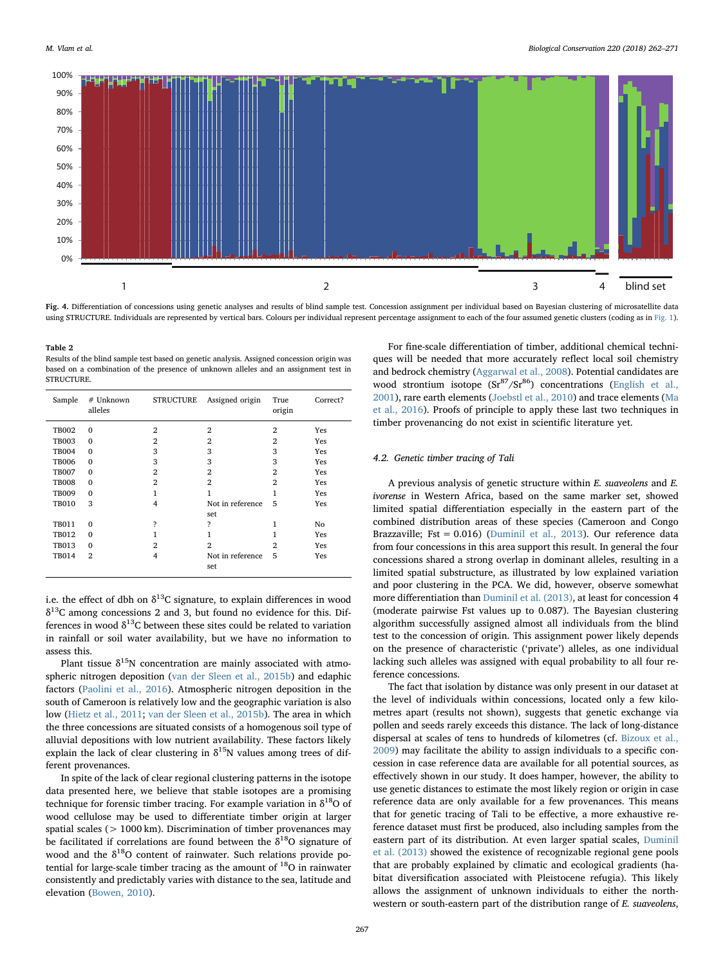<span id="page-5-0"></span>

Fig. 4. Differentiation of concessions using genetic analyses and results of blind sample test. Concession assignment per individual based on Bayesian clustering of microsatellite data using STRUCTURE. Individuals are represented by vertical bars. Colours per individual represent percentage assignment to each of the four assumed genetic clusters (coding as in [Fig. 1](#page-2-0)).

<span id="page-5-1"></span>Table 2

Results of the blind sample test based on genetic analysis. Assigned concession origin was based on a combination of the presence of unknown alleles and an assignment test in **STRUCTURE** 

| Sample                                                                                       | # Unknown<br>alleles                                                                 | STRUCTURE                                                         | Assigned origin                                                              | True<br>origin                                       | Correct?                               |
|----------------------------------------------------------------------------------------------|--------------------------------------------------------------------------------------|-------------------------------------------------------------------|------------------------------------------------------------------------------|------------------------------------------------------|----------------------------------------|
| <b>TB002</b><br><b>TB003</b><br><b>TB004</b><br><b>TB006</b><br><b>TB007</b><br><b>TB008</b> | $\mathbf{0}$<br>$\mathbf{0}$<br>$\mathbf{0}$<br>$\mathbf{0}$<br>$\Omega$<br>$\Omega$ | $\overline{2}$<br>2<br>3<br>3<br>$\overline{2}$<br>$\overline{2}$ | $\overline{2}$<br>$\overline{2}$<br>3<br>3<br>$\overline{2}$<br>$\mathbf{2}$ | $\overline{2}$<br>2<br>3<br>3<br>2<br>$\overline{2}$ | Yes<br>Yes<br>Yes<br>Yes<br>Yes<br>Yes |
| <b>TB009</b><br><b>TB010</b><br><b>TB011</b>                                                 | $\Omega$<br>3<br>$\mathbf{0}$                                                        | 1<br>4<br>Ş                                                       | 1<br>Not in reference<br>set<br>?                                            | 1<br>5<br>1                                          | Yes<br>Yes<br>No                       |
| <b>TB012</b><br><b>TB013</b><br><b>TB014</b>                                                 | $\Omega$<br>$\mathbf{0}$<br>$\overline{2}$                                           | 1<br>$\overline{2}$<br>4                                          | 1<br>$\overline{2}$<br>Not in reference<br>set                               | 1<br>$\overline{2}$<br>5                             | Yes<br>Yes<br>Yes                      |

i.e. the effect of dbh on  $\delta^{13}$ C signature, to explain differences in wood  $\delta^{13}$ C among concessions 2 and 3, but found no evidence for this. Differences in wood  $\delta^{13}$ C between these sites could be related to variation in rainfall or soil water availability, but we have no information to assess this.

Plant tissue  $\delta^{15}N$  concentration are mainly associated with atmospheric nitrogen deposition [\(van der Sleen et al., 2015b](#page-9-17)) and edaphic factors ([Paolini et al., 2016\)](#page-9-30). Atmospheric nitrogen deposition in the south of Cameroon is relatively low and the geographic variation is also low ([Hietz et al., 2011](#page-9-31); [van der Sleen et al., 2015b\)](#page-9-17). The area in which the three concessions are situated consists of a homogenous soil type of alluvial depositions with low nutrient availability. These factors likely explain the lack of clear clustering in  $\delta^{15}N$  values among trees of different provenances.

In spite of the lack of clear regional clustering patterns in the isotope data presented here, we believe that stable isotopes are a promising technique for forensic timber tracing. For example variation in  $\delta^{18}O$  of wood cellulose may be used to differentiate timber origin at larger spatial scales (> 1000 km). Discrimination of timber provenances may be facilitated if correlations are found between the  $\delta^{18}O$  signature of wood and the  $\delta^{18}O$  content of rainwater. Such relations provide potential for large-scale timber tracing as the amount of  $^{18}O$  in rainwater consistently and predictably varies with distance to the sea, latitude and elevation ([Bowen, 2010](#page-8-7)).

For fine-scale differentiation of timber, additional chemical techniques will be needed that more accurately reflect local soil chemistry and bedrock chemistry [\(Aggarwal et al., 2008](#page-8-8)). Potential candidates are wood strontium isotope  $(Sr^{87}/Sr^{86})$  concentrations ([English et al.,](#page-9-32) [2001\)](#page-9-32), rare earth elements ([Joebstl et al., 2010\)](#page-9-33) and trace elements ([Ma](#page-9-34) [et al., 2016\)](#page-9-34). Proofs of principle to apply these last two techniques in timber provenancing do not exist in scientific literature yet.

# 4.2. Genetic timber tracing of Tali

A previous analysis of genetic structure within E. suaveolens and E. ivorense in Western Africa, based on the same marker set, showed limited spatial differentiation especially in the eastern part of the combined distribution areas of these species (Cameroon and Congo Brazzaville; Fst = 0.016) ([Duminil et al., 2013](#page-9-35)). Our reference data from four concessions in this area support this result. In general the four concessions shared a strong overlap in dominant alleles, resulting in a limited spatial substructure, as illustrated by low explained variation and poor clustering in the PCA. We did, however, observe somewhat more differentiation than [Duminil et al. \(2013\),](#page-9-35) at least for concession 4 (moderate pairwise Fst values up to 0.087). The Bayesian clustering algorithm successfully assigned almost all individuals from the blind test to the concession of origin. This assignment power likely depends on the presence of characteristic ('private') alleles, as one individual lacking such alleles was assigned with equal probability to all four reference concessions.

The fact that isolation by distance was only present in our dataset at the level of individuals within concessions, located only a few kilometres apart (results not shown), suggests that genetic exchange via pollen and seeds rarely exceeds this distance. The lack of long-distance dispersal at scales of tens to hundreds of kilometres (cf. [Bizoux et al.,](#page-8-2) [2009\)](#page-8-2) may facilitate the ability to assign individuals to a specific concession in case reference data are available for all potential sources, as effectively shown in our study. It does hamper, however, the ability to use genetic distances to estimate the most likely region or origin in case reference data are only available for a few provenances. This means that for genetic tracing of Tali to be effective, a more exhaustive reference dataset must first be produced, also including samples from the eastern part of its distribution. At even larger spatial scales, [Duminil](#page-9-35) [et al. \(2013\)](#page-9-35) showed the existence of recognizable regional gene pools that are probably explained by climatic and ecological gradients (habitat diversification associated with Pleistocene refugia). This likely allows the assignment of unknown individuals to either the northwestern or south-eastern part of the distribution range of E. suaveolens,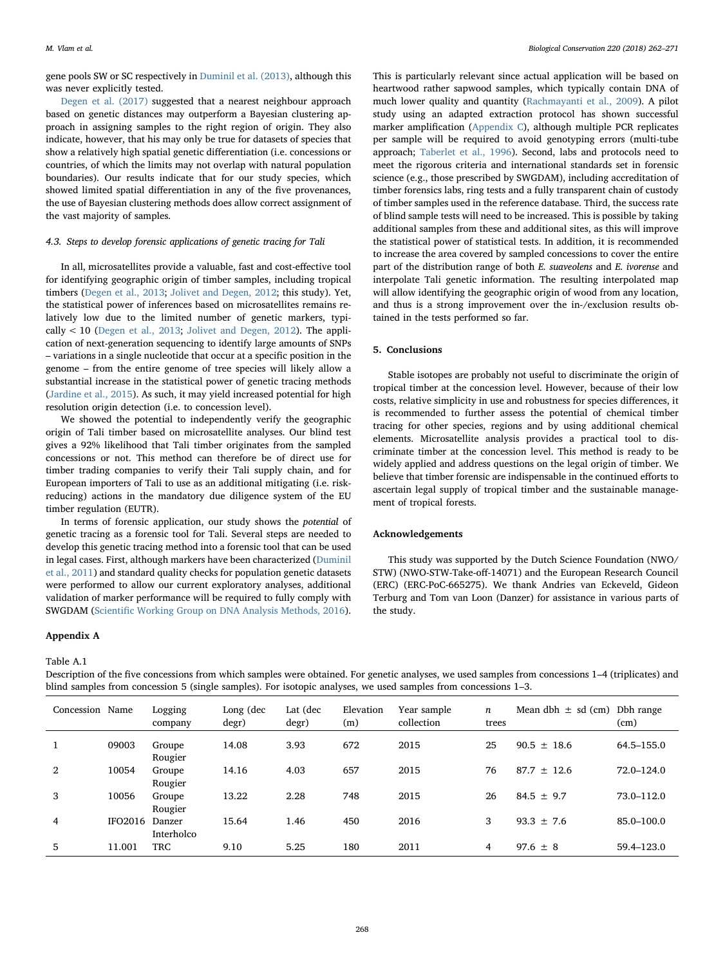gene pools SW or SC respectively in [Duminil et al. \(2013\)](#page-9-35), although this was never explicitly tested.

[Degen et al. \(2017\)](#page-8-9) suggested that a nearest neighbour approach based on genetic distances may outperform a Bayesian clustering approach in assigning samples to the right region of origin. They also indicate, however, that his may only be true for datasets of species that show a relatively high spatial genetic differentiation (i.e. concessions or countries, of which the limits may not overlap with natural population boundaries). Our results indicate that for our study species, which showed limited spatial differentiation in any of the five provenances, the use of Bayesian clustering methods does allow correct assignment of the vast majority of samples.

# 4.3. Steps to develop forensic applications of genetic tracing for Tali

In all, microsatellites provide a valuable, fast and cost-effective tool for identifying geographic origin of timber samples, including tropical timbers ([Degen et al., 2013](#page-8-1); [Jolivet and Degen, 2012](#page-9-7); this study). Yet, the statistical power of inferences based on microsatellites remains relatively low due to the limited number of genetic markers, typically < 10 ([Degen et al., 2013](#page-8-1); [Jolivet and Degen, 2012](#page-9-7)). The application of next-generation sequencing to identify large amounts of SNPs – variations in a single nucleotide that occur at a specific position in the genome – from the entire genome of tree species will likely allow a substantial increase in the statistical power of genetic tracing methods ([Jardine et al., 2015\)](#page-9-36). As such, it may yield increased potential for high resolution origin detection (i.e. to concession level).

We showed the potential to independently verify the geographic origin of Tali timber based on microsatellite analyses. Our blind test gives a 92% likelihood that Tali timber originates from the sampled concessions or not. This method can therefore be of direct use for timber trading companies to verify their Tali supply chain, and for European importers of Tali to use as an additional mitigating (i.e. riskreducing) actions in the mandatory due diligence system of the EU timber regulation (EUTR).

In terms of forensic application, our study shows the potential of genetic tracing as a forensic tool for Tali. Several steps are needed to develop this genetic tracing method into a forensic tool that can be used in legal cases. First, although markers have been characterized [\(Duminil](#page-8-3) [et al., 2011\)](#page-8-3) and standard quality checks for population genetic datasets were performed to allow our current exploratory analyses, additional validation of marker performance will be required to fully comply with SWGDAM (Scientifi[c Working Group on DNA Analysis Methods, 2016](#page-9-37)).

#### Appendix A

#### <span id="page-6-0"></span>Table A.1

This is particularly relevant since actual application will be based on heartwood rather sapwood samples, which typically contain DNA of much lower quality and quantity ([Rachmayanti et al., 2009](#page-9-38)). A pilot study using an adapted extraction protocol has shown successful marker amplification [\(Appendix C](#page-7-2)), although multiple PCR replicates per sample will be required to avoid genotyping errors (multi-tube approach; [Taberlet et al., 1996](#page-9-39)). Second, labs and protocols need to meet the rigorous criteria and international standards set in forensic science (e.g., those prescribed by SWGDAM), including accreditation of timber forensics labs, ring tests and a fully transparent chain of custody of timber samples used in the reference database. Third, the success rate of blind sample tests will need to be increased. This is possible by taking additional samples from these and additional sites, as this will improve the statistical power of statistical tests. In addition, it is recommended to increase the area covered by sampled concessions to cover the entire part of the distribution range of both E. suaveolens and E. ivorense and interpolate Tali genetic information. The resulting interpolated map will allow identifying the geographic origin of wood from any location, and thus is a strong improvement over the in-/exclusion results obtained in the tests performed so far.

# 5. Conclusions

Stable isotopes are probably not useful to discriminate the origin of tropical timber at the concession level. However, because of their low costs, relative simplicity in use and robustness for species differences, it is recommended to further assess the potential of chemical timber tracing for other species, regions and by using additional chemical elements. Microsatellite analysis provides a practical tool to discriminate timber at the concession level. This method is ready to be widely applied and address questions on the legal origin of timber. We believe that timber forensic are indispensable in the continued efforts to ascertain legal supply of tropical timber and the sustainable management of tropical forests.

# Acknowledgements

This study was supported by the Dutch Science Foundation (NWO/ STW) (NWO-STW-Take-off-14071) and the European Research Council (ERC) (ERC-PoC-665275). We thank Andries van Eckeveld, Gideon Terburg and Tom van Loon (Danzer) for assistance in various parts of the study.

Description of the five concessions from which samples were obtained. For genetic analyses, we used samples from concessions 1–4 (triplicates) and blind samples from concession 5 (single samples). For isotopic analyses, we used samples from concessions 1–3.

| Concession Name |                | Logging<br>company | Long (dec<br>degr) | Lat (dec<br>degr) | Elevation<br>(m) | Year sample<br>collection | $\boldsymbol{n}$<br>trees | Mean dbh $\pm$ sd (cm) Dbh range | (cm)       |
|-----------------|----------------|--------------------|--------------------|-------------------|------------------|---------------------------|---------------------------|----------------------------------|------------|
|                 | 09003          | Groupe<br>Rougier  | 14.08              | 3.93              | 672              | 2015                      | 25                        | $90.5 \pm 18.6$                  | 64.5–155.0 |
| 2               | 10054          | Groupe<br>Rougier  | 14.16              | 4.03              | 657              | 2015                      | 76                        | $87.7 \pm 12.6$                  | 72.0-124.0 |
| 3               | 10056          | Groupe<br>Rougier  | 13.22              | 2.28              | 748              | 2015                      | 26                        | $84.5 \pm 9.7$                   | 73.0–112.0 |
| 4               | IFO2016 Danzer | Interholco         | 15.64              | 1.46              | 450              | 2016                      | 3                         | $93.3 \pm 7.6$                   | 85.0-100.0 |
| 5               | 11.001         | TRC                | 9.10               | 5.25              | 180              | 2011                      | 4                         | $97.6 \pm 8$                     | 59.4-123.0 |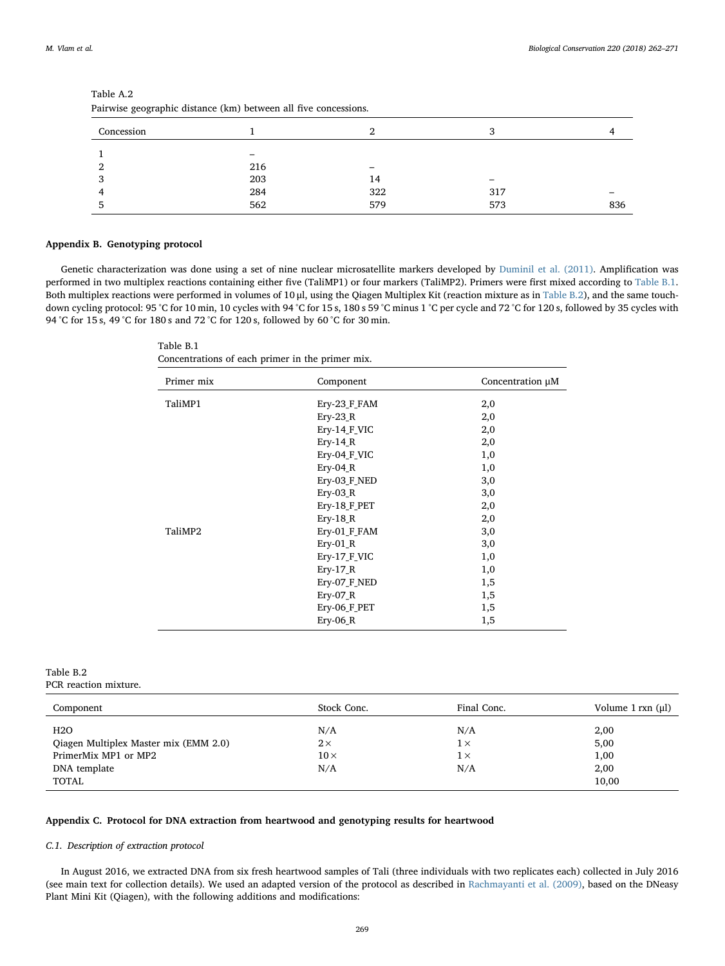| all wise geographic distance (Kill) between all live concessions. |     |     |     |     |  |  |  |  |  |  |
|-------------------------------------------------------------------|-----|-----|-----|-----|--|--|--|--|--|--|
| Concession                                                        |     | ົ   |     |     |  |  |  |  |  |  |
|                                                                   |     |     |     |     |  |  |  |  |  |  |
| 2                                                                 | 216 |     |     |     |  |  |  |  |  |  |
| 3                                                                 | 203 | 14  |     |     |  |  |  |  |  |  |
| 4                                                                 | 284 | 322 | 317 |     |  |  |  |  |  |  |
| 5                                                                 | 562 | 579 | 573 | 836 |  |  |  |  |  |  |
|                                                                   |     |     |     |     |  |  |  |  |  |  |

<span id="page-7-0"></span>

| Table A.2                                                       |  |
|-----------------------------------------------------------------|--|
| Pairwise geographic distance (km) between all five concessions. |  |

# <span id="page-7-1"></span>Appendix B. Genotyping protocol

<span id="page-7-3"></span>Genetic characterization was done using a set of nine nuclear microsatellite markers developed by [Duminil et al. \(2011\).](#page-8-3) Amplification was performed in two multiplex reactions containing either five (TaliMP1) or four markers (TaliMP2). Primers were first mixed according to [Table B.1](#page-7-3). Both multiplex reactions were performed in volumes of 10 μl, using the Qiagen Multiplex Kit (reaction mixture as in [Table B.2](#page-7-4)), and the same touchdown cycling protocol: 95 °C for 10 min, 10 cycles with 94 °C for 15 s, 180 s 59 °C minus 1 °C per cycle and 72 °C for 120 s, followed by 35 cycles with 94 °C for 15 s, 49 °C for 180 s and 72 °C for 120 s, followed by 60 °C for 30 min.

Table B.1 Concentrations of each primer in the primer mix.

| Primer mix | Component    | Concentration µM |
|------------|--------------|------------------|
| TaliMP1    | Ery-23_F_FAM | 2,0              |
|            | $Ery-23 R$   | 2,0              |
|            | Ery-14_F_VIC | 2,0              |
|            | $Ery-14 R$   | 2,0              |
|            | Ery-04_F_VIC | 1,0              |
|            | $Ery-04$ R   | 1,0              |
|            | Ery-03 F NED | 3,0              |
|            | $Ery-03$ R   | 3,0              |
|            | Ery-18 F_PET | 2,0              |
|            | Ery-18 $R$   | 2,0              |
| TaliMP2    | Ery-01_F_FAM | 3,0              |
|            | $Ery-01$ R   | 3,0              |
|            | Ery-17 F VIC | 1,0              |
|            | $Ery-17 R$   | 1,0              |
|            | Ery-07 F NED | 1,5              |
|            | $Ery-07 R$   | 1,5              |
|            | Ery-06_F_PET | 1,5              |
|            | Ery-06_R     | 1,5              |

# <span id="page-7-4"></span>Table B.2 PCR reaction mixture.

| Component                                                                                     | Stock Conc.                           | Final Conc.                            | Volume $1$ rxn $(\mu l)$              |
|-----------------------------------------------------------------------------------------------|---------------------------------------|----------------------------------------|---------------------------------------|
| H2O<br>Qiagen Multiplex Master mix (EMM 2.0)<br>PrimerMix MP1 or MP2<br>DNA template<br>TOTAL | N/A<br>$2\times$<br>$10\times$<br>N/A | N/A<br>$1 \times$<br>$1 \times$<br>N/A | 2,00<br>5,00<br>1,00<br>2,00<br>10,00 |

# <span id="page-7-2"></span>Appendix C. Protocol for DNA extraction from heartwood and genotyping results for heartwood

# C.1. Description of extraction protocol

In August 2016, we extracted DNA from six fresh heartwood samples of Tali (three individuals with two replicates each) collected in July 2016 (see main text for collection details). We used an adapted version of the protocol as described in [Rachmayanti et al. \(2009\)](#page-9-38), based on the DNeasy Plant Mini Kit (Qiagen), with the following additions and modifications: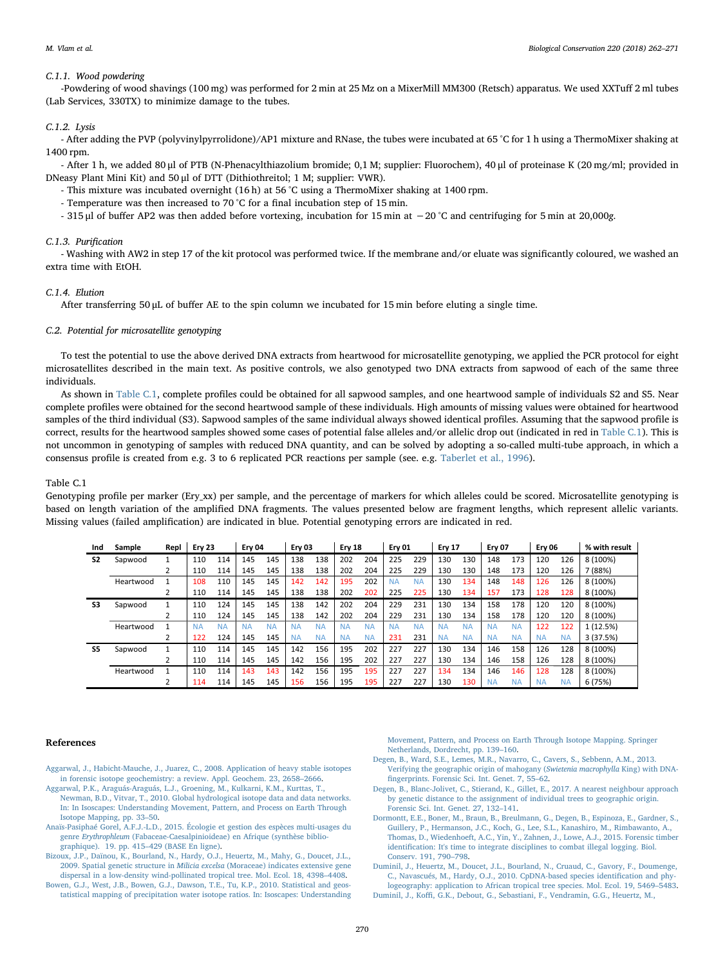#### C.1.1. Wood powdering

-Powdering of wood shavings (100 mg) was performed for 2 min at 25 Mz on a MixerMill MM300 (Retsch) apparatus. We used XXTuff 2 ml tubes (Lab Services, 330TX) to minimize damage to the tubes.

#### C.1.2. Lysis

- After adding the PVP (polyvinylpyrrolidone)/AP1 mixture and RNase, the tubes were incubated at 65 °C for 1 h using a ThermoMixer shaking at 1400 rpm.

- After 1 h, we added 80 μl of PTB (N-Phenacylthiazolium bromide; 0,1 M; supplier: Fluorochem), 40 μl of proteinase K (20 mg/ml; provided in DNeasy Plant Mini Kit) and 50 μl of DTT (Dithiothreitol; 1 M; supplier: VWR).

- This mixture was incubated overnight (16 h) at 56 °C using a ThermoMixer shaking at 1400 rpm.

- Temperature was then increased to 70 °C for a final incubation step of 15 min.
- 315 μl of buffer AP2 was then added before vortexing, incubation for 15 min at −20 °C and centrifuging for 5 min at 20,000g.

# C.1.3. Purification

- Washing with AW2 in step 17 of the kit protocol was performed twice. If the membrane and/or eluate was significantly coloured, we washed an extra time with EtOH.

#### C.1.4. Elution

After transferring 50 μL of buffer AE to the spin column we incubated for 15 min before eluting a single time.

#### C.2. Potential for microsatellite genotyping

To test the potential to use the above derived DNA extracts from heartwood for microsatellite genotyping, we applied the PCR protocol for eight microsatellites described in the main text. As positive controls, we also genotyped two DNA extracts from sapwood of each of the same three individuals.

As shown in [Table C.1](#page-8-10), complete profiles could be obtained for all sapwood samples, and one heartwood sample of individuals S2 and S5. Near complete profiles were obtained for the second heartwood sample of these individuals. High amounts of missing values were obtained for heartwood samples of the third individual (S3). Sapwood samples of the same individual always showed identical profiles. Assuming that the sapwood profile is correct, results for the heartwood samples showed some cases of potential false alleles and/or allelic drop out (indicated in red in [Table C.1\)](#page-8-10). This is not uncommon in genotyping of samples with reduced DNA quantity, and can be solved by adopting a so-called multi-tube approach, in which a consensus profile is created from e.g. 3 to 6 replicated PCR reactions per sample (see. e.g. [Taberlet et al., 1996\)](#page-9-39).

#### <span id="page-8-10"></span>Table C.1

Genotyping profile per marker (Ery xx) per sample, and the percentage of markers for which alleles could be scored. Microsatellite genotyping is based on length variation of the amplified DNA fragments. The values presented below are fragment lengths, which represent allelic variants. Missing values (failed amplification) are indicated in blue. Potential genotyping errors are indicated in red.

| Ind            | Sample    | Repl | Ery 23    |           | Ery 04    |           | Ery 03    |           | Ery 18    |           | Ery 01    |           | <b>Ery 17</b> |           | <b>Erv 07</b> |           | <b>Ery 06</b> |           | % with result |
|----------------|-----------|------|-----------|-----------|-----------|-----------|-----------|-----------|-----------|-----------|-----------|-----------|---------------|-----------|---------------|-----------|---------------|-----------|---------------|
| S <sub>2</sub> | Sapwood   |      | 110       | 114       | 145       | 145       | 138       | 138       | 202       | 204       | 225       | 229       | 130           | 130       | 148           | 173       | 120           | 126       | 8 (100%)      |
|                |           |      | 110       | 114       | 145       | 145       | 138       | 138       | 202       | 204       | 225       | 229       | 130           | 130       | 148           | 173       | 120           | 126       | 7 (88%)       |
|                | Heartwood |      | 108       | 110       | 145       | 145       | 142       | 142       | 195       | 202       | <b>NA</b> | <b>NA</b> | 130           | 134       | 148           | 148       | 126           | 126       | 8 (100%)      |
|                |           |      | 110       | 114       | 145       | 145       | 138       | 138       | 202       | 202       | 225       | 225       | 130           | 134       | 157           | 173       | 128           | 128       | 8 (100%)      |
| S3             | Sapwood   |      | 110       | 124       | 145       | 145       | 138       | 142       | 202       | 204       | 229       | 231       | 130           | 134       | 158           | 178       | 120           | 120       | 8 (100%)      |
|                |           |      | 110       | 124       | 145       | 145       | 138       | 142       | 202       | 204       | 229       | 231       | 130           | 134       | 158           | 178       | 120           | 120       | 8 (100%)      |
|                | Heartwood |      | <b>NA</b> | <b>NA</b> | <b>NA</b> | <b>NA</b> | <b>NA</b> | <b>NA</b> | <b>NA</b> | <b>NA</b> | <b>NA</b> | <b>NA</b> | <b>NA</b>     | <b>NA</b> | <b>NA</b>     | <b>NA</b> | 122           | 122       | 1 (12.5%)     |
|                |           |      | 122       | 124       | 145       | 145       | <b>NA</b> | <b>NA</b> | NΑ        | <b>NA</b> | 231       | 231       | <b>NA</b>     | <b>NA</b> | <b>NA</b>     | <b>NA</b> | <b>NA</b>     | <b>NA</b> | 3(37.5%)      |
| S5             | Sapwood   |      | 110       | 114       | 145       | 145       | 142       | 156       | 195       | 202       | 227       | 227       | 130           | 134       | 146           | 158       | 126           | 128       | 8 (100%)      |
|                |           |      | 110       | 114       | 145       | 145       | 142       | 156       | 195       | 202       | 227       | 227       | 130           | 134       | 146           | 158       | 126           | 128       | 8 (100%)      |
|                | Heartwood |      | 110       | 114       | 143       | 143       | 142       | 156       | 195       | 195       | 227       | 227       | 134           | 134       | 146           | 146       | 128           | 128       | 8 (100%)      |
|                |           |      | 114       | 114       | 145       | 145       | 156       | 156       | 195       | 195       | 227       | 227       | 130           | 130       | <b>NA</b>     | <b>NA</b> | <b>NA</b>     | <b>NA</b> | 6 (75%)       |

#### References

- <span id="page-8-8"></span>[Aggarwal, J., Habicht-Mauche, J., Juarez, C., 2008. Application of heavy stable isotopes](http://refhub.elsevier.com/S0006-3207(17)31752-4/rf0005) [in forensic isotope geochemistry: a review. Appl. Geochem. 23, 2658](http://refhub.elsevier.com/S0006-3207(17)31752-4/rf0005)–2666. [Aggarwal, P.K., Araguás-Araguás, L.J., Groening, M., Kulkarni, K.M., Kurttas, T.,](http://refhub.elsevier.com/S0006-3207(17)31752-4/rf0010)
- <span id="page-8-6"></span>[Newman, B.D., Vitvar, T., 2010. Global hydrological isotope data and data networks.](http://refhub.elsevier.com/S0006-3207(17)31752-4/rf0010) [In: In Isoscapes: Understanding Movement, Pattern, and Process on Earth Through](http://refhub.elsevier.com/S0006-3207(17)31752-4/rf0010) [Isotope Mapping, pp. 33](http://refhub.elsevier.com/S0006-3207(17)31752-4/rf0010)–50.
- <span id="page-8-4"></span>[Anaïs-Pasiphaé Gorel, A.F.J.-L.D., 2015. Écologie et gestion des espèces multi-usages du](http://refhub.elsevier.com/S0006-3207(17)31752-4/rf0015) genre Erythrophleum [\(Fabaceae-Caesalpinioideae\) en Afrique \(synthèse biblio](http://refhub.elsevier.com/S0006-3207(17)31752-4/rf0015)[graphique\). 19. pp. 415](http://refhub.elsevier.com/S0006-3207(17)31752-4/rf0015)–429 (BASE En ligne).
- <span id="page-8-2"></span>[Bizoux, J.P., Daïnou, K., Bourland, N., Hardy, O.J., Heuertz, M., Mahy, G., Doucet, J.L.,](http://refhub.elsevier.com/S0006-3207(17)31752-4/rf0020) 2009. Spatial genetic structure in Milicia excelsa [\(Moraceae\) indicates extensive gene](http://refhub.elsevier.com/S0006-3207(17)31752-4/rf0020) [dispersal in a low-density wind-pollinated tropical tree. Mol. Ecol. 18, 4398](http://refhub.elsevier.com/S0006-3207(17)31752-4/rf0020)–4408.
- <span id="page-8-7"></span>[Bowen, G.J., West, J.B., Bowen, G.J., Dawson, T.E., Tu, K.P., 2010. Statistical and geos](http://refhub.elsevier.com/S0006-3207(17)31752-4/rf0025)[tatistical mapping of precipitation water isotope ratios. In: Isoscapes: Understanding](http://refhub.elsevier.com/S0006-3207(17)31752-4/rf0025)

[Movement, Pattern, and Process on Earth Through Isotope Mapping. Springer](http://refhub.elsevier.com/S0006-3207(17)31752-4/rf0025) [Netherlands, Dordrecht, pp. 139](http://refhub.elsevier.com/S0006-3207(17)31752-4/rf0025)–160.

- <span id="page-8-1"></span>[Degen, B., Ward, S.E., Lemes, M.R., Navarro, C., Cavers, S., Sebbenn, A.M., 2013.](http://refhub.elsevier.com/S0006-3207(17)31752-4/rf0030) [Verifying the geographic origin of mahogany \(](http://refhub.elsevier.com/S0006-3207(17)31752-4/rf0030)Swietenia macrophylla King) with DNAfi[ngerprints. Forensic Sci. Int. Genet. 7, 55](http://refhub.elsevier.com/S0006-3207(17)31752-4/rf0030)–62.
- <span id="page-8-9"></span>[Degen, B., Blanc-Jolivet, C., Stierand, K., Gillet, E., 2017. A nearest neighbour approach](http://refhub.elsevier.com/S0006-3207(17)31752-4/rf0035) [by genetic distance to the assignment of individual trees to geographic origin.](http://refhub.elsevier.com/S0006-3207(17)31752-4/rf0035) [Forensic Sci. Int. Genet. 27, 132](http://refhub.elsevier.com/S0006-3207(17)31752-4/rf0035)–141.
- <span id="page-8-0"></span>[Dormontt, E.E., Boner, M., Braun, B., Breulmann, G., Degen, B., Espinoza, E., Gardner, S.,](http://refhub.elsevier.com/S0006-3207(17)31752-4/rf0040) [Guillery, P., Hermanson, J.C., Koch, G., Lee, S.L., Kanashiro, M., Rimbawanto, A.,](http://refhub.elsevier.com/S0006-3207(17)31752-4/rf0040) [Thomas, D., Wiedenhoeft, A.C., Yin, Y., Zahnen, J., Lowe, A.J., 2015. Forensic timber](http://refhub.elsevier.com/S0006-3207(17)31752-4/rf0040) identifi[cation: It's time to integrate disciplines to combat illegal logging. Biol.](http://refhub.elsevier.com/S0006-3207(17)31752-4/rf0040) [Conserv. 191, 790](http://refhub.elsevier.com/S0006-3207(17)31752-4/rf0040)–798.
- <span id="page-8-5"></span><span id="page-8-3"></span>[Duminil, J., Heuertz, M., Doucet, J.L., Bourland, N., Cruaud, C., Gavory, F., Doumenge,](http://refhub.elsevier.com/S0006-3207(17)31752-4/rf7403) [C., Navascués, M., Hardy, O.J., 2010. CpDNA-based species identi](http://refhub.elsevier.com/S0006-3207(17)31752-4/rf7403)fication and phy[logeography: application to African tropical tree species. Mol. Ecol. 19, 5469](http://refhub.elsevier.com/S0006-3207(17)31752-4/rf7403)–5483. Duminil, J., Koffi[, G.K., Debout, G., Sebastiani, F., Vendramin, G.G., Heuertz, M.,](http://refhub.elsevier.com/S0006-3207(17)31752-4/rf0045)